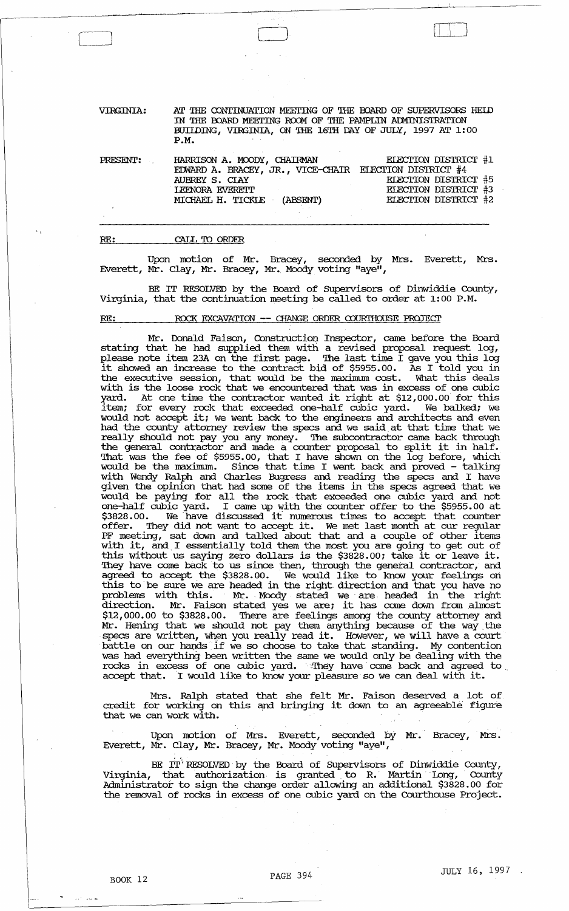VIRGINIA: PRESENT: AT THE CONTINUATION MEETING OF THE BOARD OF SUPERVISORS HELD IN THE BOARD MEETING ROOM OF THE PAMPLIN ADMINISTRATION BUIIDING, VIRGINIA, ON THE 16TH DAY OF JULY, 1997 AT 1:00 P.M. HARRISON A. MX>DY, CHAIRMAN EIEDOTOV DISTRICTOR #1

| <b>FRESENT:</b> | HARRISON A. MOODY, CHAIRMAN                            | ELECTION DISTRICT #T |
|-----------------|--------------------------------------------------------|----------------------|
|                 | EDWARD A. BRACEY, JR., VICE-CHAIR ELECTION DISTRICT #4 |                      |
|                 | AUBREY S. CLAY                                         | ELECTION DISTRICT #5 |
|                 | <b><i>IEENORA EVERETT</i></b>                          | ELECTION DISTRICT #3 |
|                 | MICHAEL H. TICKLE (ABSENT)                             | ELECTION DISTRICT #2 |
|                 |                                                        |                      |

#### RE: CALL 'IO ORDER

Upon motion of Mr. Bracey, seconded by Mrs. Everett, Mrs. Everett, Mr. Clay, Mr. Bracey, Mr. Moody voting "aye",

BE IT RESOLVED by the Board of *SUpervisbrs* of Dinwiddie County, Virginia, that the continuation meeting be called to order at 1:00 P.M.

#### RE: ROCK EXCAVATION -- CHANGE ORDER COURTHOUSE PROJECT

Mr. Donald Faison, Construction Inspector, came before the Board stating that he had supplied them with a revised proposal request log, please note item 23A on the first page. The last time I gave you this log it showed an increase to the contract bid of \$5955.00. As I told you in the executive session, that would be the maximum cost. What this deals with is the loose rock that we encountered that was in excess of one cubic with is the loose rock that we encountered that was in excess of one cubic<br>yard. At one time the contractor wanted it right at \$12,000.00 for this item; for every rock that exceeded one-half cubic yard. We balked; we would not accept it; we went back to the engineers and architects and even had the county attorney review the specs and we said. at that time that we really should not pay you any money. The subcontractor came back through the general contractor and made a counter proposal to split it in half. That was the fee of \$5955.00, that I have shown on the log before, which would be the maximum. Since that time I went back and proved - talking with Wendy Ralph and Charles Bugress and reading the specs and I have given the opinion that had some of the items in the specs agreed that we would be paying for all the rock that exceeded one cubic yard and not one-half cubic yard. I came up with the counter offer to the \$5955.00 at Saga.00. We have discussed it numerous times to accept that counter possor. We have discussed it humerous three to accept did counter.<br>offer. They did not want to accept it. We met last month at our regular PF meeting, sat down and talked about that and a couple of other items with it, and I essentially told them the most you are going to get out of this without us saying zero dollars is the \$3828.00; take it or leave it. 'Ihey have come back to us since then, through the general contractor, and agreed to accept the \$3828.00. We would like to know your feelings on this to be sure we are headed in the right direction and that you have no problems with this. Mr. Moody stated we are headed in the right direction. Mr. Faison stated yes we are; it has come down from almost \$12,000.00 to \$3828.00. There are feelings among the county attorney and Mr. Hening that we should not pay them anything because of the way. the specs are written, when you really read it. However, we will have a court specs are written, when you rearry read it. However, we will have a court<br>battle on our hands if we so choose to take that standing. My contention was had everything been written the same we would only be dealing with the rocks in excess of one cubic yard. They have come back and agreed to accept that. I would like to know your pleasure so we can deal with it.

Mrs. Ralph stated that she felt Mr. Faison deserved a lot of<br>credit for working on this and bringing it down to an agreeable figure that we can work with.

Upon motion of Mrs. Everett, seconded by Mr.' Bracey, Mrs. Everett, Mr. Clay, Mr. Bracey, Mr. Moody voting "aye",

BE IT'RESOLVED by the Board of Supervisors of Dinwiddie County, Virginia, that authorization is granted to R. Martin Long, County Administrator to sign the change order allowing an additional \$3828.00 for the removal of rocks in excess of one cubic yard on the Courthouse Project.

and can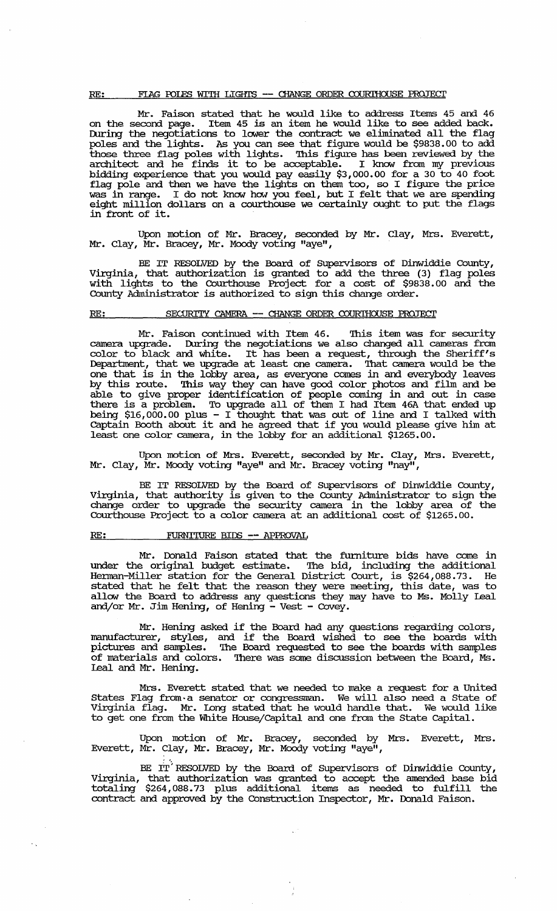## RE: FIAG POLES WITH LIGHTS -- CHANGE ORDER COURTHOUSE PROJECT

Mr. Faison stated that he would like to address Items 45 and 46 on the second page. Item 45 is an item he would like to see added back. During the negotiations to lower the contract we eliminated all the flag poles and the lights. As you can see that figure would be \$9838.00 to add those three flag poles with lights. This figure has been reviewed by the architect and he finds it to be acceptable. I know from my previous bidding experience that you would pay easily \$3,000.00 for a 30 to 40 foot flag pole and then we have the lights on them too, so I figure the price was in range. I do not know how you feel, but I felt that we are spending eight million dollars on a courthouse we certainly ought to put the flags in front of it.

Upon motion of Mr. Bracey, seconded by Mr. clay, Mrs. Everett, Mr. Clay, Mr. Bracey, Mr. Moody voting "aye",

BE IT RESOLVED by the Board of Supervisors of Dinwiddie County, Virginia, that authorization is granted to add the three (3) flag poles with lights to the Courthouse Project for a cost of \$9838.00 and the County Administrator is authorized to sign this change order.

### RE: SECURITY CAMERA -- CHANGE ORDER COURTHOUSE PROJECT

Mr. Faison continued with Item 46. This item was for security camera upgrade. During the negotiations we also changed all cameras from color to black and white. It has been a request, through the Sheriff's Deparbnent, that we upgrade at least one camera. That camera would be the one that is in the lobby area, as everyone comes in and everybody leaves by this route. This way they can have good color photos and film and be able to give proper identification of people coming in and out in case there is a problem. To upgrade all of them I had Item 46A that ended up being \$16,000.00 plus - I thought that was out of line and I talked with captain Booth about it and he agreed that if you would please give him at least one color camera, in the lobby for an additional \$1265.00.

Upon motion of Mrs. Everett, seconded by Mr. Clay, Mrs. Everett, Mr. Clay, Mr. Moody voting "aye" and Mr. Bracey voting "nay",

BE IT RESOLVED by the Board of Supervisors of Dinwiddie County, Virginia, that authority is given to the COunty Administrator to sign the change order to upgrade the security camera in the lobby area of the COurthouse Project to a color camera at an additional cost of \$1265.00.

#### RE: FURNITURE BIDS -- APPROVAL

 $\sim$  .

Mr. Donald Faison stated that the funliture bids have come in under the original budget estimate. The bid, including the additional Herman-Miller station for the General District COurt, is \$264,088.73. He stated that he felt that the reason they were meeting, this date, was to allow the Board to address any questions they may have to Ms. Molly Leal and/or Mr. Jim Hening, of Hening - Vest - Covey.

Mr. Hening asked if the Board. had any questions regarding colors, manufacturer, styles, and if the Board wished to see the boards with pictures and samples. '!he Board requested to see the boards with samples of materials and colors. '!here was same discussion between the Board, Ms. Leal and Mr. Hening.

Mrs. Everett stated that we needed to make a request for a united states Flag from· a senator or congressman. We will also need a state of Virginia flag. Mr. lDng stated that he would handle that. We would like to get one from the White House/capital and one from the state capital.

Upon motion of Mr. Bracey, seconded by Mrs. Everett, Mrs. Everett, Mr. Clay, Mr. Bracey, Mr. Moody voting "aye",

BE  $\overline{\text{IT}}'$  RESOLVED by the Board of Supervisors of Dinwiddie County, Virginia, that authorization was granted to accept the amended base bid totaling \$264,088.73 plus additional items as needed to fulfill the contract and approved by the COnstruction Inspector, Mr. Donald Faison.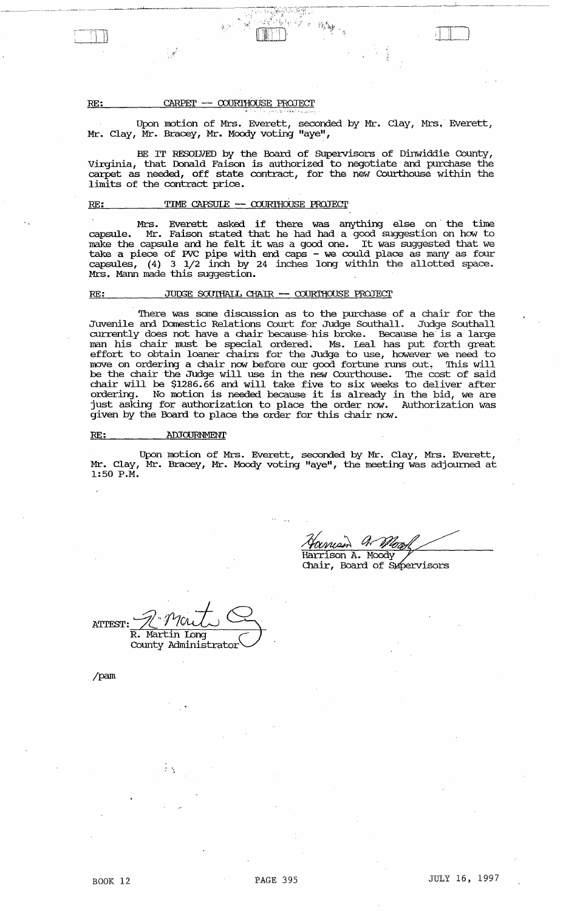RE:

#### CARPET -- COURTHOUSE PROJECT

Upon motion of Mrs. Everett, seconded by Mr. Clay, Mrs. Everett, Mr. Clay, Mr. Bracey, Mr. Moody voting "aye",

 $\mathcal{L}=\mathbb{R}^{n\times n}\mathbb{R}^{n\times n}$  . In  $\mathbb{R}^{n\times n}$ 

BE IT RESOLVED by the Board of SUpervisors of Dinwiddie County, Virginia, that Donald Faison is authorized to negotiate and purchase the carpet as needed, off state contract, for the new Courthouse within the limits of the contract price.

# $RE:$  TIME CAPSUIE  $-$  COURTHOUSE PROJECT</u>

Mrs. Everett asked if there was anything else on the time capsule. Mr. Faison stated that he had had a good suggestion on how to make the capsule and he felt it was a good. one. It was suggested that we take a piece of *PVC* pipe with end caps - we could place as many as four capsules, (4) 3 1/2 inch by 24 inches long within the allotted space. Mrs. Mann made this suggestion.

#### RE: JUDGE SOUTHALL CHAIR -- COURTHOUSE PROJECT

There was some discussion as to the purchase of a chair for the Juvenile and Domestic Relations Court for Judge Southall. Judge Southall currently does not have a chair because his broke. Because he is a large man his chair must be special ordered. Ms. Leal has put forth great effort to obtain loaner chairs for the Judge to use, however we need to move on ordering a chair now before our good fortune runs out. This will be the chair the Judge will use in the new Courthouse. The cost of said chair will be \$1286.66 and will take five to six weeks to deliver after ordering. No motion is needed because it is already in the bid, we are just asking for authorization to place the order now. Authorization was given by the Board to place the order for this chair now.

#### RE: ADJOURNMENT

Upon motion of Mrs. Everett, seconded by Mr. Clay, Mrs. Everett, Mr. Clay, Mr. Bracey, Mr. Moody voting "aye", the meeting was adjourned at 1:50 P.M.

Harrison A. Moody Chair, Board of Supervisors

ATTEST: R. **R. Martin Long ~ County Administrator** 

. ;

/pam